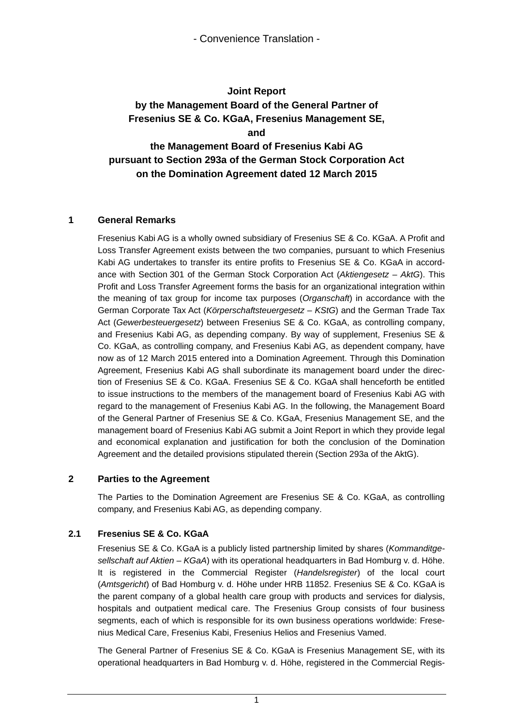# **Joint Report by the Management Board of the General Partner of Fresenius SE & Co. KGaA, Fresenius Management SE, and the Management Board of Fresenius Kabi AG pursuant to Section 293a of the German Stock Corporation Act on the Domination Agreement dated 12 March 2015**

#### **1 General Remarks**

Fresenius Kabi AG is a wholly owned subsidiary of Fresenius SE & Co. KGaA. A Profit and Loss Transfer Agreement exists between the two companies, pursuant to which Fresenius Kabi AG undertakes to transfer its entire profits to Fresenius SE & Co. KGaA in accordance with Section 301 of the German Stock Corporation Act (*Aktiengesetz – AktG*). This Profit and Loss Transfer Agreement forms the basis for an organizational integration within the meaning of tax group for income tax purposes (*Organschaft*) in accordance with the German Corporate Tax Act (*Körperschaftsteuergesetz – KStG*) and the German Trade Tax Act (*Gewerbesteuergesetz*) between Fresenius SE & Co. KGaA, as controlling company, and Fresenius Kabi AG, as depending company. By way of supplement, Fresenius SE & Co. KGaA, as controlling company, and Fresenius Kabi AG, as dependent company, have now as of 12 March 2015 entered into a Domination Agreement. Through this Domination Agreement, Fresenius Kabi AG shall subordinate its management board under the direction of Fresenius SE & Co. KGaA. Fresenius SE & Co. KGaA shall henceforth be entitled to issue instructions to the members of the management board of Fresenius Kabi AG with regard to the management of Fresenius Kabi AG. In the following, the Management Board of the General Partner of Fresenius SE & Co. KGaA, Fresenius Management SE, and the management board of Fresenius Kabi AG submit a Joint Report in which they provide legal and economical explanation and justification for both the conclusion of the Domination Agreement and the detailed provisions stipulated therein (Section 293a of the AktG).

#### **2 Parties to the Agreement**

The Parties to the Domination Agreement are Fresenius SE & Co. KGaA, as controlling company, and Fresenius Kabi AG, as depending company.

#### **2.1 Fresenius SE & Co. KGaA**

Fresenius SE & Co. KGaA is a publicly listed partnership limited by shares (*Kommanditgesellschaft auf Aktien – KGaA*) with its operational headquarters in Bad Homburg v. d. Höhe. It is registered in the Commercial Register (*Handelsregister*) of the local court (*Amtsgericht*) of Bad Homburg v. d. Höhe under HRB 11852. Fresenius SE & Co. KGaA is the parent company of a global health care group with products and services for dialysis, hospitals and outpatient medical care. The Fresenius Group consists of four business segments, each of which is responsible for its own business operations worldwide: Fresenius Medical Care, Fresenius Kabi, Fresenius Helios and Fresenius Vamed.

The General Partner of Fresenius SE & Co. KGaA is Fresenius Management SE, with its operational headquarters in Bad Homburg v. d. Höhe, registered in the Commercial Regis-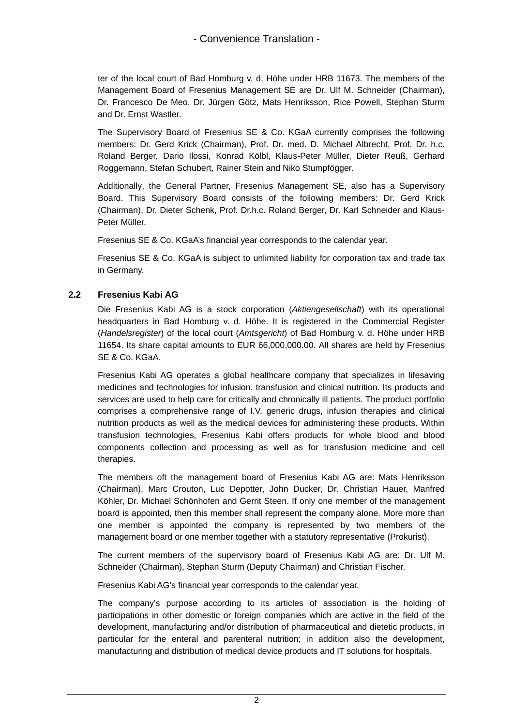ter of the local court of Bad Homburg v. d. Höhe under HRB 11673. The members of the Management Board of Fresenius Management SE are Dr. Ulf M. Schneider (Chairman), Dr. Francesco De Meo, Dr. Jürgen Götz, Mats Henriksson, Rice Powell, Stephan Sturm and Dr. Ernst Wastler.

The Supervisory Board of Fresenius SE & Co. KGaA currently comprises the following members: Dr. Gerd Krick (Chairman), Prof. Dr. med. D. Michael Albrecht, Prof. Dr. h.c. Roland Berger, Dario Ilossi, Konrad Kölbl, Klaus-Peter Müller, Dieter Reuß, Gerhard Roggemann, Stefan Schubert, Rainer Stein and Niko Stumpfögger.

Additionally, the General Partner, Fresenius Management SE, also has a Supervisory Board. This Supervisory Board consists of the following members: Dr. Gerd Krick (Chairman), Dr. Dieter Schenk, Prof. Dr.h.c. Roland Berger, Dr. Karl Schneider and Klaus-Peter Müller.

Fresenius SE & Co. KGaA's financial year corresponds to the calendar year.

Fresenius SE & Co. KGaA is subject to unlimited liability for corporation tax and trade tax in Germany.

#### **2.2 Fresenius Kabi AG**

Die Fresenius Kabi AG is a stock corporation (*Aktiengesellschaft*) with its operational headquarters in Bad Homburg v. d. Höhe. It is registered in the Commercial Register (*Handelsregister*) of the local court (*Amtsgericht*) of Bad Homburg v. d. Höhe under HRB 11654. Its share capital amounts to EUR 66,000,000.00. All shares are held by Fresenius SE & Co. KGaA.

Fresenius Kabi AG operates a global healthcare company that specializes in lifesaving medicines and technologies for infusion, transfusion and clinical nutrition. Its products and services are used to help care for critically and chronically ill patients. The product portfolio comprises a comprehensive range of I.V. generic drugs, infusion therapies and clinical nutrition products as well as the medical devices for administering these products. Within transfusion technologies, Fresenius Kabi offers products for whole blood and blood components collection and processing as well as for transfusion medicine and cell therapies.

The members oft the management board of Fresenius Kabi AG are: Mats Henriksson (Chairman), Marc Crouton, Luc Depotter, John Ducker, Dr. Christian Hauer, Manfred Köhler, Dr. Michael Schönhofen and Gerrit Steen. If only one member of the management board is appointed, then this member shall represent the company alone. More more than one member is appointed the company is represented by two members of the management board or one member together with a statutory representative (Prokurist).

The current members of the supervisory board of Fresenius Kabi AG are: Dr. Ulf M. Schneider (Chairman), Stephan Sturm (Deputy Chairman) and Christian Fischer.

Fresenius Kabi AG's financial year corresponds to the calendar year.

The company's purpose according to its articles of association is the holding of participations in other domestic or foreign companies which are active in the field of the development, manufacturing and/or distribution of pharmaceutical and dietetic products, in particular for the enteral and parenteral nutrition; in addition also the development, manufacturing and distribution of medical device products and IT solutions for hospitals.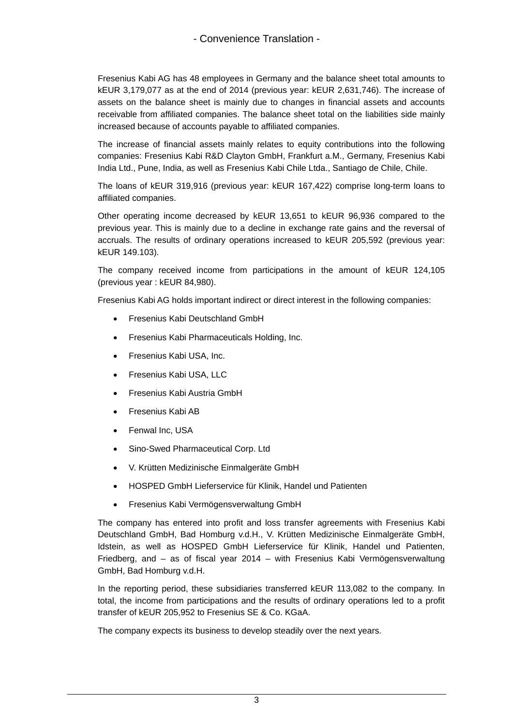Fresenius Kabi AG has 48 employees in Germany and the balance sheet total amounts to kEUR 3,179,077 as at the end of 2014 (previous year: kEUR 2,631,746). The increase of assets on the balance sheet is mainly due to changes in financial assets and accounts receivable from affiliated companies. The balance sheet total on the liabilities side mainly increased because of accounts payable to affiliated companies.

The increase of financial assets mainly relates to equity contributions into the following companies: Fresenius Kabi R&D Clayton GmbH, Frankfurt a.M., Germany, Fresenius Kabi India Ltd., Pune, India, as well as Fresenius Kabi Chile Ltda., Santiago de Chile, Chile.

The loans of kEUR 319,916 (previous year: kEUR 167,422) comprise long-term loans to affiliated companies.

Other operating income decreased by kEUR 13,651 to kEUR 96,936 compared to the previous year. This is mainly due to a decline in exchange rate gains and the reversal of accruals. The results of ordinary operations increased to kEUR 205,592 (previous year: kEUR 149.103).

The company received income from participations in the amount of kEUR 124,105 (previous year : kEUR 84,980).

Fresenius Kabi AG holds important indirect or direct interest in the following companies:

- Fresenius Kabi Deutschland GmbH
- Fresenius Kabi Pharmaceuticals Holding, Inc.
- Fresenius Kabi USA, Inc.
- Fresenius Kabi USA, LLC
- Fresenius Kabi Austria GmbH
- Fresenius Kabi AB
- Fenwal Inc, USA
- Sino-Swed Pharmaceutical Corp. Ltd
- V. Krütten Medizinische Einmalgeräte GmbH
- HOSPED GmbH Lieferservice für Klinik, Handel und Patienten
- Fresenius Kabi Vermögensverwaltung GmbH

The company has entered into profit and loss transfer agreements with Fresenius Kabi Deutschland GmbH, Bad Homburg v.d.H., V. Krütten Medizinische Einmalgeräte GmbH, Idstein, as well as HOSPED GmbH Lieferservice für Klinik, Handel und Patienten, Friedberg, and – as of fiscal year 2014 – with Fresenius Kabi Vermögensverwaltung GmbH, Bad Homburg v.d.H.

In the reporting period, these subsidiaries transferred kEUR 113,082 to the company. In total, the income from participations and the results of ordinary operations led to a profit transfer of kEUR 205,952 to Fresenius SE & Co. KGaA.

The company expects its business to develop steadily over the next years.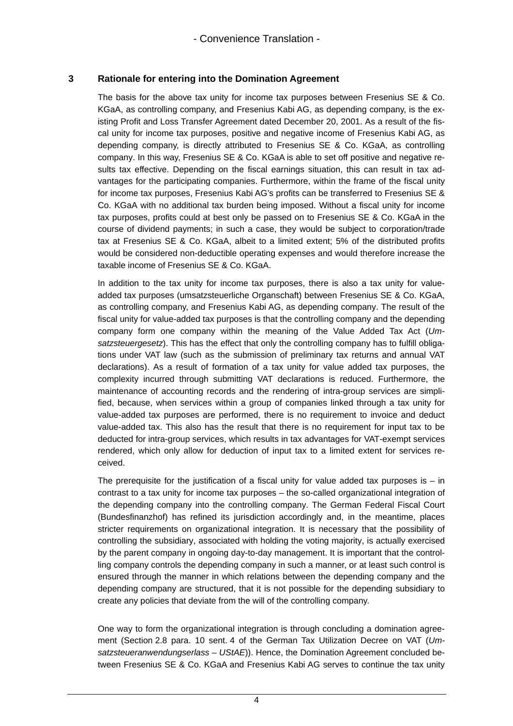#### **3 Rationale for entering into the Domination Agreement**

The basis for the above tax unity for income tax purposes between Fresenius SE & Co. KGaA, as controlling company, and Fresenius Kabi AG, as depending company, is the existing Profit and Loss Transfer Agreement dated December 20, 2001. As a result of the fiscal unity for income tax purposes, positive and negative income of Fresenius Kabi AG, as depending company, is directly attributed to Fresenius SE & Co. KGaA, as controlling company. In this way, Fresenius SE & Co. KGaA is able to set off positive and negative results tax effective. Depending on the fiscal earnings situation, this can result in tax advantages for the participating companies. Furthermore, within the frame of the fiscal unity for income tax purposes, Fresenius Kabi AG's profits can be transferred to Fresenius SE & Co. KGaA with no additional tax burden being imposed. Without a fiscal unity for income tax purposes, profits could at best only be passed on to Fresenius SE & Co. KGaA in the course of dividend payments; in such a case, they would be subject to corporation/trade tax at Fresenius SE & Co. KGaA, albeit to a limited extent; 5% of the distributed profits would be considered non-deductible operating expenses and would therefore increase the taxable income of Fresenius SE & Co. KGaA.

In addition to the tax unity for income tax purposes, there is also a tax unity for valueadded tax purposes (umsatzsteuerliche Organschaft) between Fresenius SE & Co. KGaA, as controlling company, and Fresenius Kabi AG, as depending company. The result of the fiscal unity for value-added tax purposes is that the controlling company and the depending company form one company within the meaning of the Value Added Tax Act (*Umsatzsteuergesetz*). This has the effect that only the controlling company has to fulfill obligations under VAT law (such as the submission of preliminary tax returns and annual VAT declarations). As a result of formation of a tax unity for value added tax purposes, the complexity incurred through submitting VAT declarations is reduced. Furthermore, the maintenance of accounting records and the rendering of intra-group services are simplified, because, when services within a group of companies linked through a tax unity for value-added tax purposes are performed, there is no requirement to invoice and deduct value-added tax. This also has the result that there is no requirement for input tax to be deducted for intra-group services, which results in tax advantages for VAT-exempt services rendered, which only allow for deduction of input tax to a limited extent for services received.

The prerequisite for the justification of a fiscal unity for value added tax purposes is  $-$  in contrast to a tax unity for income tax purposes – the so-called organizational integration of the depending company into the controlling company. The German Federal Fiscal Court (Bundesfinanzhof) has refined its jurisdiction accordingly and, in the meantime, places stricter requirements on organizational integration. It is necessary that the possibility of controlling the subsidiary, associated with holding the voting majority, is actually exercised by the parent company in ongoing day-to-day management. It is important that the controlling company controls the depending company in such a manner, or at least such control is ensured through the manner in which relations between the depending company and the depending company are structured, that it is not possible for the depending subsidiary to create any policies that deviate from the will of the controlling company.

One way to form the organizational integration is through concluding a domination agreement (Section 2.8 para. 10 sent. 4 of the German Tax Utilization Decree on VAT (*Umsatzsteueranwendungserlass – UStAE*)). Hence, the Domination Agreement concluded between Fresenius SE & Co. KGaA and Fresenius Kabi AG serves to continue the tax unity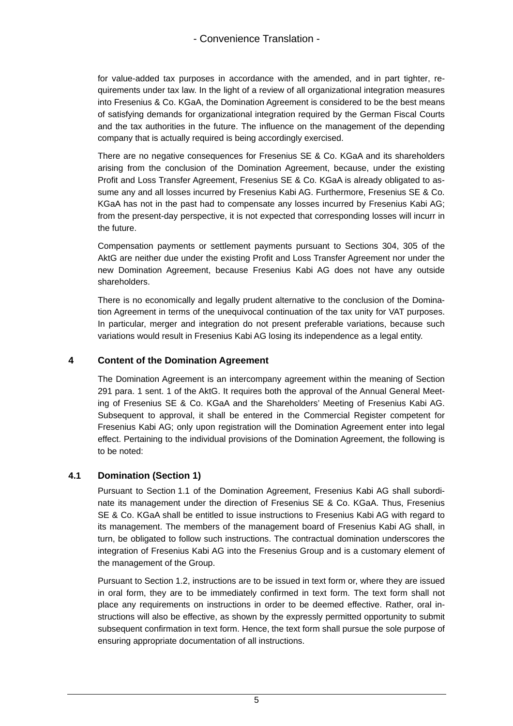for value-added tax purposes in accordance with the amended, and in part tighter, requirements under tax law. In the light of a review of all organizational integration measures into Fresenius & Co. KGaA, the Domination Agreement is considered to be the best means of satisfying demands for organizational integration required by the German Fiscal Courts and the tax authorities in the future. The influence on the management of the depending company that is actually required is being accordingly exercised.

There are no negative consequences for Fresenius SE & Co. KGaA and its shareholders arising from the conclusion of the Domination Agreement, because, under the existing Profit and Loss Transfer Agreement, Fresenius SE & Co. KGaA is already obligated to assume any and all losses incurred by Fresenius Kabi AG. Furthermore, Fresenius SE & Co. KGaA has not in the past had to compensate any losses incurred by Fresenius Kabi AG; from the present-day perspective, it is not expected that corresponding losses will incurr in the future.

Compensation payments or settlement payments pursuant to Sections 304, 305 of the AktG are neither due under the existing Profit and Loss Transfer Agreement nor under the new Domination Agreement, because Fresenius Kabi AG does not have any outside shareholders.

There is no economically and legally prudent alternative to the conclusion of the Domination Agreement in terms of the unequivocal continuation of the tax unity for VAT purposes. In particular, merger and integration do not present preferable variations, because such variations would result in Fresenius Kabi AG losing its independence as a legal entity.

#### **4 Content of the Domination Agreement**

The Domination Agreement is an intercompany agreement within the meaning of Section 291 para. 1 sent. 1 of the AktG. It requires both the approval of the Annual General Meeting of Fresenius SE & Co. KGaA and the Shareholders' Meeting of Fresenius Kabi AG. Subsequent to approval, it shall be entered in the Commercial Register competent for Fresenius Kabi AG; only upon registration will the Domination Agreement enter into legal effect. Pertaining to the individual provisions of the Domination Agreement, the following is to be noted:

### **4.1 Domination (Section 1)**

Pursuant to Section 1.1 of the Domination Agreement, Fresenius Kabi AG shall subordinate its management under the direction of Fresenius SE & Co. KGaA. Thus, Fresenius SE & Co. KGaA shall be entitled to issue instructions to Fresenius Kabi AG with regard to its management. The members of the management board of Fresenius Kabi AG shall, in turn, be obligated to follow such instructions. The contractual domination underscores the integration of Fresenius Kabi AG into the Fresenius Group and is a customary element of the management of the Group.

Pursuant to Section 1.2, instructions are to be issued in text form or, where they are issued in oral form, they are to be immediately confirmed in text form. The text form shall not place any requirements on instructions in order to be deemed effective. Rather, oral instructions will also be effective, as shown by the expressly permitted opportunity to submit subsequent confirmation in text form. Hence, the text form shall pursue the sole purpose of ensuring appropriate documentation of all instructions.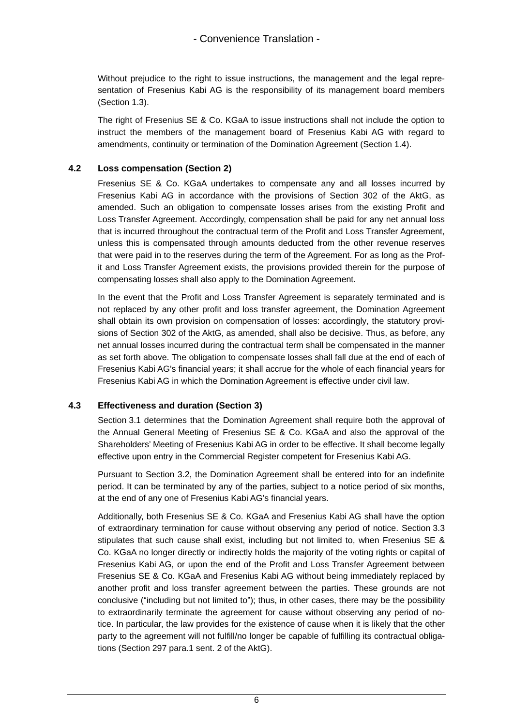Without prejudice to the right to issue instructions, the management and the legal representation of Fresenius Kabi AG is the responsibility of its management board members (Section 1.3).

The right of Fresenius SE & Co. KGaA to issue instructions shall not include the option to instruct the members of the management board of Fresenius Kabi AG with regard to amendments, continuity or termination of the Domination Agreement (Section 1.4).

#### **4.2 Loss compensation (Section 2)**

Fresenius SE & Co. KGaA undertakes to compensate any and all losses incurred by Fresenius Kabi AG in accordance with the provisions of Section 302 of the AktG, as amended. Such an obligation to compensate losses arises from the existing Profit and Loss Transfer Agreement. Accordingly, compensation shall be paid for any net annual loss that is incurred throughout the contractual term of the Profit and Loss Transfer Agreement, unless this is compensated through amounts deducted from the other revenue reserves that were paid in to the reserves during the term of the Agreement. For as long as the Profit and Loss Transfer Agreement exists, the provisions provided therein for the purpose of compensating losses shall also apply to the Domination Agreement.

In the event that the Profit and Loss Transfer Agreement is separately terminated and is not replaced by any other profit and loss transfer agreement, the Domination Agreement shall obtain its own provision on compensation of losses: accordingly, the statutory provisions of Section 302 of the AktG, as amended, shall also be decisive. Thus, as before, any net annual losses incurred during the contractual term shall be compensated in the manner as set forth above. The obligation to compensate losses shall fall due at the end of each of Fresenius Kabi AG's financial years; it shall accrue for the whole of each financial years for Fresenius Kabi AG in which the Domination Agreement is effective under civil law.

### **4.3 Effectiveness and duration (Section 3)**

Section 3.1 determines that the Domination Agreement shall require both the approval of the Annual General Meeting of Fresenius SE & Co. KGaA and also the approval of the Shareholders' Meeting of Fresenius Kabi AG in order to be effective. It shall become legally effective upon entry in the Commercial Register competent for Fresenius Kabi AG.

Pursuant to Section 3.2, the Domination Agreement shall be entered into for an indefinite period. It can be terminated by any of the parties, subject to a notice period of six months, at the end of any one of Fresenius Kabi AG's financial years.

Additionally, both Fresenius SE & Co. KGaA and Fresenius Kabi AG shall have the option of extraordinary termination for cause without observing any period of notice. Section 3.3 stipulates that such cause shall exist, including but not limited to, when Fresenius SE & Co. KGaA no longer directly or indirectly holds the majority of the voting rights or capital of Fresenius Kabi AG, or upon the end of the Profit and Loss Transfer Agreement between Fresenius SE & Co. KGaA and Fresenius Kabi AG without being immediately replaced by another profit and loss transfer agreement between the parties. These grounds are not conclusive ("including but not limited to"); thus, in other cases, there may be the possibility to extraordinarily terminate the agreement for cause without observing any period of notice. In particular, the law provides for the existence of cause when it is likely that the other party to the agreement will not fulfill/no longer be capable of fulfilling its contractual obligations (Section 297 para.1 sent. 2 of the AktG).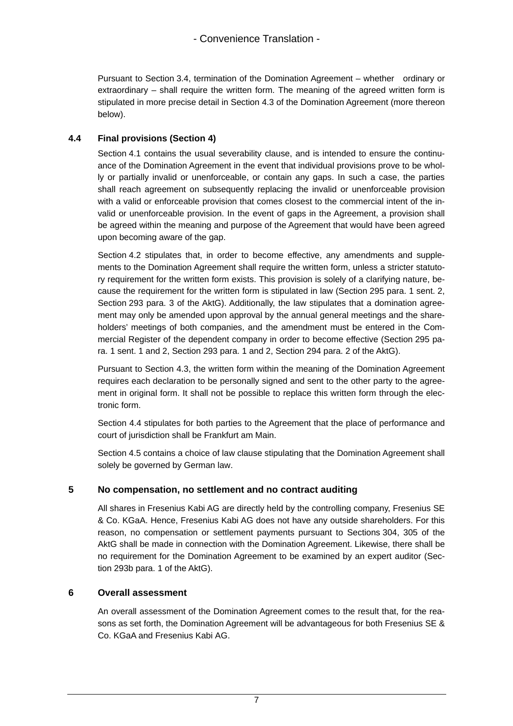Pursuant to Section 3.4, termination of the Domination Agreement – whether ordinary or extraordinary – shall require the written form. The meaning of the agreed written form is stipulated in more precise detail in Section 4.3 of the Domination Agreement (more thereon below).

#### **4.4 Final provisions (Section 4)**

Section 4.1 contains the usual severability clause, and is intended to ensure the continuance of the Domination Agreement in the event that individual provisions prove to be wholly or partially invalid or unenforceable, or contain any gaps. In such a case, the parties shall reach agreement on subsequently replacing the invalid or unenforceable provision with a valid or enforceable provision that comes closest to the commercial intent of the invalid or unenforceable provision. In the event of gaps in the Agreement, a provision shall be agreed within the meaning and purpose of the Agreement that would have been agreed upon becoming aware of the gap.

Section 4.2 stipulates that, in order to become effective, any amendments and supplements to the Domination Agreement shall require the written form, unless a stricter statutory requirement for the written form exists. This provision is solely of a clarifying nature, because the requirement for the written form is stipulated in law (Section 295 para. 1 sent. 2, Section 293 para. 3 of the AktG). Additionally, the law stipulates that a domination agreement may only be amended upon approval by the annual general meetings and the shareholders' meetings of both companies, and the amendment must be entered in the Commercial Register of the dependent company in order to become effective (Section 295 para. 1 sent. 1 and 2, Section 293 para. 1 and 2, Section 294 para. 2 of the AktG).

Pursuant to Section 4.3, the written form within the meaning of the Domination Agreement requires each declaration to be personally signed and sent to the other party to the agreement in original form. It shall not be possible to replace this written form through the electronic form.

Section 4.4 stipulates for both parties to the Agreement that the place of performance and court of jurisdiction shall be Frankfurt am Main.

Section 4.5 contains a choice of law clause stipulating that the Domination Agreement shall solely be governed by German law.

### **5 No compensation, no settlement and no contract auditing**

All shares in Fresenius Kabi AG are directly held by the controlling company, Fresenius SE & Co. KGaA. Hence, Fresenius Kabi AG does not have any outside shareholders. For this reason, no compensation or settlement payments pursuant to Sections 304, 305 of the AktG shall be made in connection with the Domination Agreement. Likewise, there shall be no requirement for the Domination Agreement to be examined by an expert auditor (Section 293b para. 1 of the AktG).

### **6 Overall assessment**

An overall assessment of the Domination Agreement comes to the result that, for the reasons as set forth, the Domination Agreement will be advantageous for both Fresenius SE & Co. KGaA and Fresenius Kabi AG.